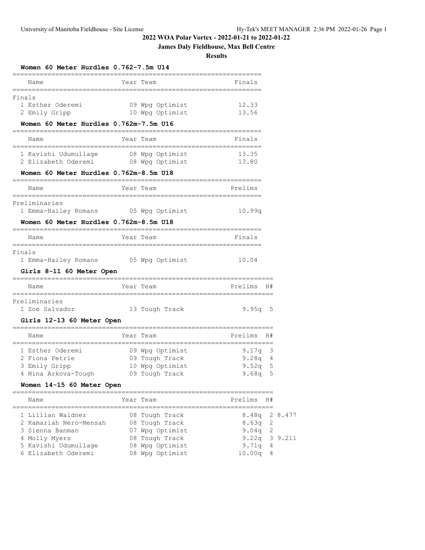# **James Daly Fieldhouse, Max Bell Centre**

| Women 60 Meter Hurdles 0.762-7.5m U14<br>=====                                        |                                                                        |                                                      |
|---------------------------------------------------------------------------------------|------------------------------------------------------------------------|------------------------------------------------------|
| Name                                                                                  | Year Team                                                              | Finals                                               |
| Finals<br>1 Esther Oderemi<br>2 Emily Gripp<br>Women 60 Meter Hurdles 0.762m-7.5m U16 | 09 Wpg Optimist<br>10 Wpg Optimist                                     | 12.33<br>13.56                                       |
| Name                                                                                  | Year Team                                                              | Finals                                               |
| 1 Kavishi Udumullage<br>2 Elizabeth Oderemi 68 Wpg Optimist                           | 08 Wpg Optimist                                                        | 13.35<br>13.80                                       |
| Women 60 Meter Hurdles 0.762m-8.5m U18                                                | ==============                                                         |                                                      |
| Name                                                                                  | Year Team                                                              | Prelims                                              |
| Preliminaries<br>1 Emma-Hailey Romans 65 Wpg Optimist                                 |                                                                        | 10.99q                                               |
| Women 60 Meter Hurdles 0.762m-8.5m U18                                                | =================                                                      |                                                      |
| Name                                                                                  | Year Team                                                              | Finals                                               |
| Finals<br>1 Emma-Hailey Romans 05 Wpg Optimist<br>Girls 8-11 60 Meter Open            |                                                                        | 10.04                                                |
| Name                                                                                  | =============<br>Year Team                                             | H#<br>Prelims                                        |
| __________________<br>Preliminaries<br>1 Zoe Salvador<br>Girls 12-13 60 Meter Open    | ============<br>13 Tough Track                                         | 9.95 $q = 5$                                         |
| Name                                                                                  | Year Team                                                              | Prelims<br>H#                                        |
| 1 Esther Oderemi<br>2 Fiona Petrie<br>3 Emily Gripp<br>4 Nina Arkova-Tough            | 09 Wpg Optimist<br>09 Tough Track<br>10 Wpg Optimist<br>09 Tough Track | 9.17q<br>3<br>9.28q<br>4<br>9.52q<br>5<br>9.68q<br>5 |
| Women 14-15 60 Meter Open                                                             |                                                                        |                                                      |
| Name                                                                                  | Year Team                                                              | H#<br>Prelims                                        |
| 1 Lillian Waldner<br>2 Kamariah Nero-Mensah<br>3 Sienna Banman                        | 08 Tough Track<br>08 Tough Track<br>07 Wpg Optimist                    | 8.48q<br>2 8.477<br>8.63q<br>2<br>9.04q<br>2         |
| 4 Molly Myers<br>5 Kavishi Udumullage<br>6 Elizabeth Oderemi                          | 08 Tough Track<br>08 Wpg Optimist<br>08 Wpg Optimist                   | 3 9.211<br>9.22q<br>9.71q<br>4<br>10.00q<br>4        |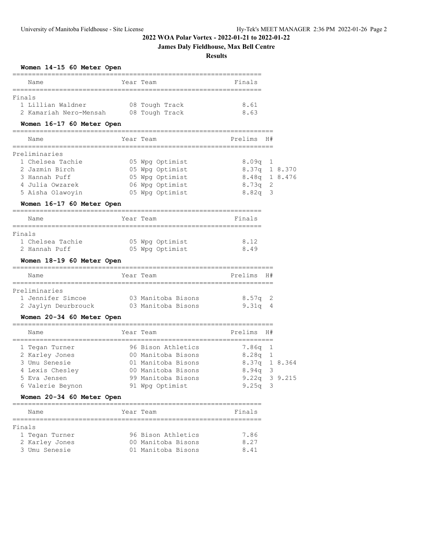# **James Daly Fieldhouse, Max Bell Centre**

#### **Results**

# **Women 14-15 60 Meter Open**

| women 14-15 bu meter Open                                                 |           |                 |               |           |  |
|---------------------------------------------------------------------------|-----------|-----------------|---------------|-----------|--|
| Name                                                                      |           | Year Team       | Finals        |           |  |
| Finals                                                                    |           |                 |               |           |  |
| 1 Lillian Waldner 68 Tough Track<br>2 Kamariah Nero-Mensah 08 Tough Track |           |                 | 8.61<br>8.63  |           |  |
| Women 16-17 60 Meter Open                                                 |           |                 |               |           |  |
| Name                                                                      |           | Year Team       | Prelims       | <b>H#</b> |  |
| Preliminaries                                                             |           |                 |               |           |  |
| 1 Chelsea Tachie                                                          |           | 05 Wpg Optimist | $8.09q$ 1     |           |  |
| 2 Jazmin Birch                                                            |           | 05 Wpg Optimist | 8.37q 1 8.370 |           |  |
| 3 Hannah Puff                                                             |           | 05 Wpg Optimist | 8.48q 1 8.476 |           |  |
| 4 Julia Owzarek                                                           |           | 06 Wpg Optimist | $8.73q$ 2     |           |  |
| 5 Aisha Olawoyin                                                          |           | 05 Wpg Optimist | $8.82q$ 3     |           |  |
| Women 16-17 60 Meter Open                                                 |           |                 |               |           |  |
| Name                                                                      | Year Team |                 | Finals        |           |  |
| ======================<br>Finals                                          |           |                 |               |           |  |
| 1 Chelsea Tachie                                                          |           | 05 Wpg Optimist | 8.12          |           |  |
| 2 Hannah Puff                                                             |           | 05 Wpg Optimist | 8.49          |           |  |
| .                                                                         |           |                 |               |           |  |

#### **Women 18-19 60 Meter Open**

| Name                | Year Team |                    |  | Prelims H#        |              |  |  |  |  |
|---------------------|-----------|--------------------|--|-------------------|--------------|--|--|--|--|
|                     |           |                    |  |                   |              |  |  |  |  |
| Preliminaries       |           |                    |  |                   |              |  |  |  |  |
| 1 Jennifer Simcoe   |           | 03 Manitoba Bisons |  | 8.57 <sub>q</sub> | <sup>2</sup> |  |  |  |  |
| 2 Jaylyn Deurbrouck |           | 03 Manitoba Bisons |  | 9.31a             | - 4          |  |  |  |  |

## **Women 20-34 60 Meter Open**

| Name             | Year Team          | Prelims H#      |  |
|------------------|--------------------|-----------------|--|
|                  |                    |                 |  |
| 1 Tegan Turner   | 96 Bison Athletics | 7.86q 1         |  |
| 2 Karley Jones   | 00 Manitoba Bisons | $8.28q$ 1       |  |
| 3 Umu Senesie    | 01 Manitoba Bisons | 8.37q 1 8.364   |  |
| 4 Lexis Chesley  | 00 Manitoba Bisons | $8.94q$ 3       |  |
| 5 Eva Jensen     | 99 Manitoba Bisons | $9.22q$ 3 9.215 |  |
| 6 Valerie Beynon | 91 Wpg Optimist    | $9.25q$ 3       |  |

## **Women 20-34 60 Meter Open**

|        | Name           | Year Team |                    | Finals |
|--------|----------------|-----------|--------------------|--------|
| Finals |                |           |                    |        |
|        | 1 Tegan Turner |           | 96 Bison Athletics | 7.86   |
|        | 2 Karley Jones |           | 00 Manitoba Bisons | 8.27   |
|        | 3 Umu Senesie  |           | 01 Manitoba Bisons | 8.41   |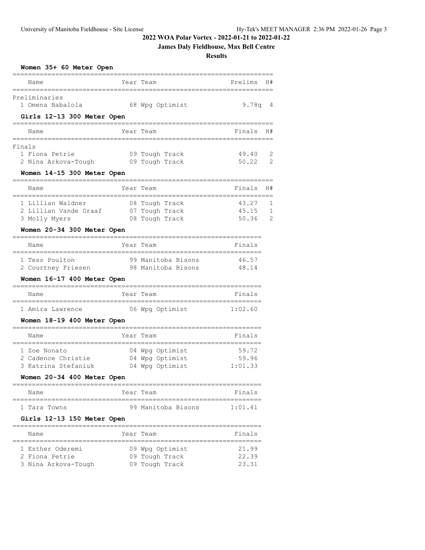# **James Daly Fieldhouse, Max Bell Centre**

## **Results**

| Women 35+ 60 Meter Open                                            |           |                                                     |                                    |        |
|--------------------------------------------------------------------|-----------|-----------------------------------------------------|------------------------------------|--------|
| Name                                                               |           | Year Team                                           | Prelims                            | H#     |
| Preliminaries<br>1 Omena Babalola                                  |           | 68 Wpg Optimist                                     | 9.78q                              | 4      |
| Girls 12-13 300 Meter Open                                         |           |                                                     |                                    |        |
| Name                                                               |           | Year Team                                           | Finals                             | H#     |
| Finals                                                             |           |                                                     |                                    |        |
| 1 Fiona Petrie<br>2 Nina Arkova-Tough                              |           | 09 Tough Track<br>09 Tough Track                    | 49.40<br>50.22                     | 2<br>2 |
| Women 14-15 300 Meter Open                                         |           |                                                     |                                    |        |
| Name                                                               |           | Year Team                                           | Finals                             | H#     |
| 1 Lillian Waldner                                                  | --------- | 08 Tough Track                                      | . _ _ _ _ _ _ _ _ _ _ _ _<br>43.27 | 1      |
| 2 Lillian Vande Graaf                                              |           | 07 Tough Track                                      | 45.15                              | 1      |
| 3 Molly Myers                                                      |           | 08 Tough Track                                      | 50.36                              | 2      |
| Women 20-34 300 Meter Open<br>------------------------------------ |           |                                                     |                                    |        |
| Name                                                               |           | Year Team                                           | Finals<br>==================       |        |
| 1 Tess Poulton                                                     |           | 99 Manitoba Bisons                                  | 46.57                              |        |
| 2 Courtney Friesen                                                 |           | 98 Manitoba Bisons                                  | 48.14                              |        |
| Women 16-17 400 Meter Open<br>------------------------             |           | -----------------------------                       |                                    |        |
| Name                                                               |           | Year Team                                           | Finals                             |        |
| 1 Amira Lawrence                                                   |           | 06 Wpg Optimist                                     | 1:02.60                            |        |
| Women 18-19 400 Meter Open                                         |           |                                                     | ====================               |        |
| Name                                                               |           | Year Team                                           | Finals                             |        |
| 1 Zoe Nonato                                                       |           | 04 Wpg Optimist                                     | 59.72                              |        |
| 2 Cadence Christie                                                 |           | 04 Wpg Optimist                                     | 59.96                              |        |
| 3 Katrina Stefaniuk                                                |           | 04 Wpg Optimist                                     | 1:01.33                            |        |
| Women 20-34 400 Meter Open                                         |           |                                                     |                                    |        |
| Name<br>----------                                                 |           | Year Team<br>====================================== | Finals                             |        |
| 1 Tara Towns                                                       |           | 99 Manitoba Bisons                                  | 1:01.41                            |        |
| Girls 12-13 150 Meter Open                                         |           |                                                     |                                    |        |
| Name                                                               |           | Year Team                                           | Finals                             |        |
| ===============<br>1 Esther Oderemi                                |           | =====<br>09 Wpg Optimist                            | ==========<br>21.99                |        |
| 2 Fiona Petrie                                                     |           | 09 Tough Track                                      | 22.39                              |        |

3 Nina Arkova-Tough 09 Tough Track 23.31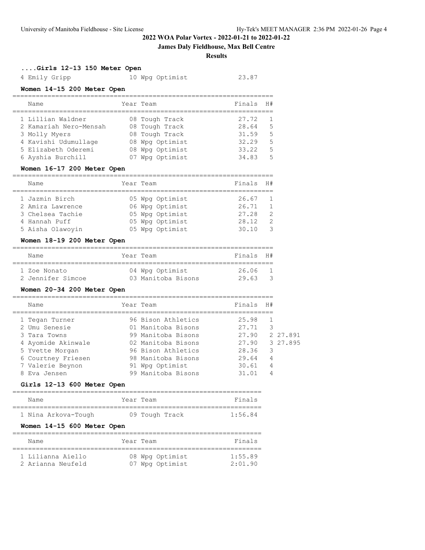## **James Daly Fieldhouse, Max Bell Centre**

#### **Results**

# **....Girls 12-13 150 Meter Open**

4 Emily Gripp 10 Wpg Optimist 23.87

# **Women 14-15 200 Meter Open**

| Name                                                                                                                             | Year Team                                                                                                   | Finals                                             | H#                                  |
|----------------------------------------------------------------------------------------------------------------------------------|-------------------------------------------------------------------------------------------------------------|----------------------------------------------------|-------------------------------------|
| 1 Lillian Waldner<br>2 Kamariah Nero-Mensah<br>3 Molly Myers<br>4 Kavishi Udumullage<br>5 Elizabeth Oderemi<br>6 Ayshia Burchill | 08 Tough Track<br>08 Tough Track<br>08 Tough Track<br>08 Wpg Optimist<br>08 Wpg Optimist<br>07 Wpg Optimist | 27.72<br>28.64<br>31.59<br>32.29<br>33.22<br>34.83 | $\overline{5}$<br>5<br>5<br>.5<br>5 |

#### **Women 16-17 200 Meter Open**

| Name             | Year Team       | Finals | H #            |
|------------------|-----------------|--------|----------------|
| 1 Jazmin Birch   | 05 Wpg Optimist | 26.67  | $\overline{1}$ |
| 2 Amira Lawrence | 06 Wpg Optimist | 26.71  | $\overline{1}$ |
| 3 Chelsea Tachie | 05 Wpg Optimist | 27.28  | $\overline{2}$ |
| 4 Hannah Puff    | 05 Wpg Optimist | 28.12  | - 2            |
| 5 Aisha Olawoyin | 05 Wpg Optimist | 30.10  | -3             |
|                  |                 |        |                |

## **Women 18-19 200 Meter Open**

| Name                              | Year Team                             | Finals H#      |   |
|-----------------------------------|---------------------------------------|----------------|---|
| 1 Zoe Nonato<br>2 Jennifer Simcoe | 04 Wpg Optimist<br>03 Manitoba Bisons | 26.06<br>29.63 | 3 |

## **Women 20-34 200 Meter Open**

| Name               | Year Team          | Finals | H# |          |
|--------------------|--------------------|--------|----|----------|
| 1 Tegan Turner     | 96 Bison Athletics | 25.98  |    |          |
| 2 Umu Senesie      | 01 Manitoba Bisons | 27.71  | 3  |          |
| 3 Tara Towns       | 99 Manitoba Bisons | 27.90  |    | 2 27.891 |
| 4 Ayomide Akinwale | 02 Manitoba Bisons | 27.90  |    | 3 27.895 |
| 5 Yvette Morgan    | 96 Bison Athletics | 28.36  | 3  |          |
| 6 Courtney Friesen | 98 Manitoba Bisons | 29.64  | 4  |          |
| 7 Valerie Beynon   | 91 Wpg Optimist    | 30.61  | 4  |          |
| 8 Eva Jensen       | 99 Manitoba Bisons | 31.01  |    |          |

#### **Girls 12-13 600 Meter Open**

| Name |                     | Year Team |                | Finals  |  |
|------|---------------------|-----------|----------------|---------|--|
|      |                     |           |                |         |  |
|      | 1 Nina Arkova-Tough |           | 09 Tough Track | 1:56.84 |  |

## **Women 14-15 600 Meter Open**

| Name                                   | Year Team |                                    | Finals             |
|----------------------------------------|-----------|------------------------------------|--------------------|
| 1 Lilianna Aiello<br>2 Arianna Neufeld |           | 08 Wpg Optimist<br>07 Wpg Optimist | 1:55.89<br>2:01:90 |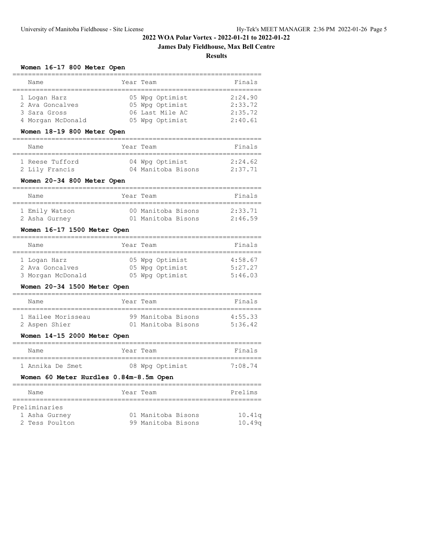# **James Daly Fieldhouse, Max Bell Centre**

**Results**

#### **Women 16-17 800 Meter Open**

| Name                            | Year Team                          | Finals             |
|---------------------------------|------------------------------------|--------------------|
| 1 Logan Harz<br>2 Ava Goncalves | 05 Wpg Optimist<br>05 Wpg Optimist | 2:24.90<br>2:33.72 |
| 3 Sara Gross                    | 06 Last Mile AC                    | 2:35.72            |
| 4 Morgan McDonald               | 05 Wpg Optimist                    | 2:40.61            |

#### **Women 18-19 800 Meter Open**

| Name                              | Year Team |                                       | Finals             |
|-----------------------------------|-----------|---------------------------------------|--------------------|
| 1 Reese Tufford<br>2 Lily Francis |           | 04 Wpg Optimist<br>04 Manitoba Bisons | 2:24.62<br>2:37.71 |

## **Women 20-34 800 Meter Open**

| Name           | Year Team          | Finals  |
|----------------|--------------------|---------|
| 1 Emily Watson | 00 Manitoba Bisons | 2:33.71 |
| 2 Asha Gurney  | 01 Manitoba Bisons | 2:46.59 |

## **Women 16-17 1500 Meter Open**

| Name              | Year Team       | Finals  |
|-------------------|-----------------|---------|
|                   |                 |         |
| 1 Logan Harz      | 05 Wpg Optimist | 4:58.67 |
| 2 Ava Goncalves   | 05 Wpg Optimist | 5:27.27 |
| 3 Morgan McDonald | 05 Wpg Optimist | 5:46.03 |

## **Women 20-34 1500 Meter Open**

| Name               | Year Team          | Finals  |
|--------------------|--------------------|---------|
| 1 Hailee Morisseau | 99 Manitoba Bisons | 4:55.33 |
| 2 Aspen Shier      | 01 Manitoba Bisons | 5:36.42 |

## **Women 14-15 2000 Meter Open**

| Name             |  | Year Team |                 | Finals  |
|------------------|--|-----------|-----------------|---------|
|                  |  |           |                 |         |
| 1 Annika De Smet |  |           | 08 Wpg Optimist | 7:08.74 |

#### **Women 60 Meter Hurdles 0.84m-8.5m Open**

| Name          |                | Year Team          | Prelims |
|---------------|----------------|--------------------|---------|
|               |                |                    |         |
| Preliminaries |                |                    |         |
|               | 1 Asha Gurney  | 01 Manitoba Bisons | 10.41q  |
|               | 2 Tess Poulton | 99 Manitoba Bisons | 10.49a  |
|               |                |                    |         |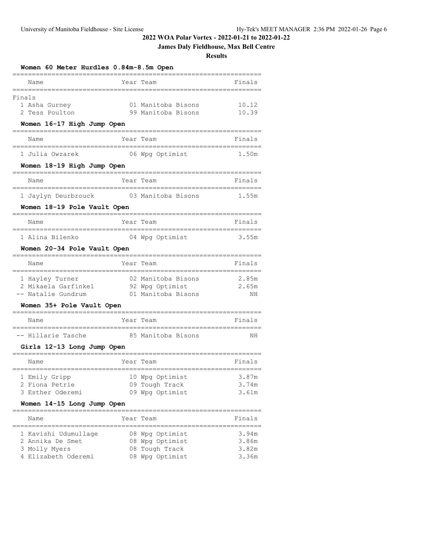**Women 60 Meter Hurdles 0.84m-8.5m Open**

# **2022 WOA Polar Vortex - 2022-01-21 to 2022-01-22**

# **James Daly Fieldhouse, Max Bell Centre**

| Name                                   | Year Team          | Finals |
|----------------------------------------|--------------------|--------|
| Finals                                 |                    |        |
| 1 Asha Gurney                          | 01 Manitoba Bisons | 10.12  |
| 2 Tess Poulton                         | 99 Manitoba Bisons | 10.39  |
| Women 16-17 High Jump Open             |                    |        |
| Name                                   | Year Team          | Finals |
| . _ _ _ _ _ _ _ _ _<br>1 Julia Owzarek | 06 Wpg Optimist    | 1.50m  |
| Women 18-19 High Jump Open             |                    |        |
| Name                                   | Year Team          | Finals |
| 1 Jaylyn Deurbrouck                    | 03 Manitoba Bisons | 1.55m  |
| Women 18-19 Pole Vault Open            |                    |        |
| Name<br>==============                 | Year Team          | Finals |
| 1 Alina Bilenko                        | 04 Wpg Optimist    | 3.55m  |
| Women 20-34 Pole Vault Open            |                    |        |
| Name                                   | Year Team          | Finals |
| 1 Hayley Turner                        | 02 Manitoba Bisons | 2.85m  |
| 2 Mikaela Garfinkel                    | 92 Wpg Optimist    | 2.65m  |
| -- Natalie Gundrum                     | 01 Manitoba Bisons | ΝH     |
| Women 35+ Pole Vault Open              |                    |        |
| Name                                   | Year Team          | Finals |
| -- Hillarie Tasche                     | 85 Manitoba Bisons | ΝH     |
| Girls 12-13 Long Jump Open             |                    |        |
| Name                                   | Year Team          | Finals |
| 1 Emily Gripp                          | 10 Wpg Optimist    | 3.87m  |
| 2 Fiona Petrie                         | 09 Tough Track     | 3.74m  |
| 3 Esther Oderemi                       | 09 Wpg Optimist    | 3.61m  |
| Women 14-15 Long Jump Open             |                    |        |
| Name                                   | Year Team          | Finals |
| 1 Kavishi Udumullage                   | 08 Wpg Optimist    | 3.94m  |
| 2 Annika De Smet                       | 08 Wpg Optimist    | 3.86m  |
| 3 Molly Myers                          | 08 Tough Track     | 3.82m  |
| 4 Elizabeth Oderemi                    | 08 Wpg Optimist    | 3.36m  |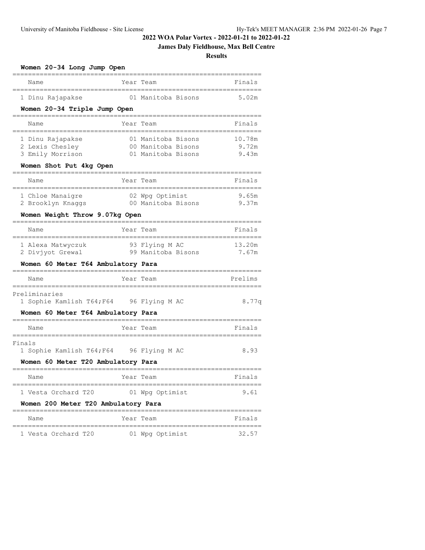# **James Daly Fieldhouse, Max Bell Centre**

| Women 20-34 Long Jump Open<br>=======       |  |                                          |                |  |  |
|---------------------------------------------|--|------------------------------------------|----------------|--|--|
| Name                                        |  | Year Team                                | Finals         |  |  |
| 1 Dinu Rajapakse                            |  | 01 Manitoba Bisons                       | 5.02m          |  |  |
| Women 20-34 Triple Jump Open                |  |                                          |                |  |  |
| Name                                        |  | Year Team                                | Finals         |  |  |
| 1 Dinu Rajapakse                            |  | 01 Manitoba Bisons                       | 10.78m         |  |  |
| 2 Lexis Chesley                             |  | 00 Manitoba Bisons<br>01 Manitoba Bisons | 9.72m<br>9.43m |  |  |
| 3 Emily Morrison<br>Women Shot Put 4kg Open |  |                                          |                |  |  |
| Name                                        |  | Year Team                                | Finals         |  |  |
| 1 Chloe Manaigre                            |  | 02 Wpg Optimist                          | 9.65m          |  |  |
| 2 Brooklyn Knaggs                           |  | 00 Manitoba Bisons                       | 9.37m          |  |  |
| Women Weight Throw 9.07kg Open              |  |                                          |                |  |  |
| Name                                        |  | Year Team                                | Finals         |  |  |
| 1 Alexa Matwyczuk                           |  | 93 Flying M AC                           | 13.20m         |  |  |
| 2 Divjyot Grewal                            |  | 99 Manitoba Bisons                       | 7.67m          |  |  |
| Women 60 Meter T64 Ambulatory Para          |  |                                          |                |  |  |
| Name                                        |  | Year Team                                | Prelims        |  |  |
| Preliminaries                               |  |                                          |                |  |  |
| 1 Sophie Kamlish T64; F64 96 Flying M AC    |  |                                          | 8.77q          |  |  |
| Women 60 Meter T64 Ambulatory Para          |  |                                          |                |  |  |
| Name                                        |  | Year Team                                | Finals         |  |  |
| Finals                                      |  |                                          |                |  |  |
| 1 Sophie Kamlish T64; F64 96 Flying M AC    |  |                                          | 8.93           |  |  |
| Women 60 Meter T20 Ambulatory Para          |  |                                          |                |  |  |
| Name                                        |  | Year Team                                | Finals         |  |  |
| 1 Vesta Orchard T20                         |  | 01 Wpg Optimist                          | 9.61           |  |  |
| Women 200 Meter T20 Ambulatory Para         |  |                                          |                |  |  |
| Name                                        |  | Year Team                                | Finals         |  |  |
| 1 Vesta Orchard T20                         |  | 01 Wpg Optimist                          | 32.57          |  |  |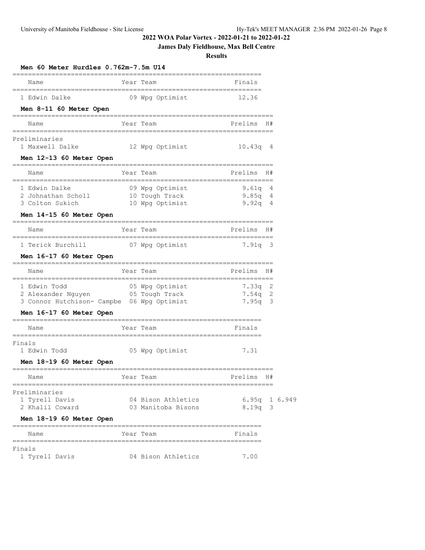# **James Daly Fieldhouse, Max Bell Centre**

| Men 60 Meter Hurdles 0.762m-7.5m U14                                              |                 |                                                      |                                           |             |               |
|-----------------------------------------------------------------------------------|-----------------|------------------------------------------------------|-------------------------------------------|-------------|---------------|
| Name                                                                              |                 | Year Team                                            | Finals                                    |             |               |
| 1 Edwin Dalke<br>Men 8-11 60 Meter Open                                           |                 | 09 Wpg Optimist                                      | 12.36                                     |             |               |
| $====$<br>Name                                                                    | =============== | -------------<br>Year Team                           | Prelims                                   | H#          |               |
| Preliminaries<br>1 Maxwell Dalke<br>Men 12-13 60 Meter Open                       |                 | 12 Wpg Optimist                                      | 10.43q                                    | 4           |               |
| Name                                                                              | =======         | Year Team                                            | Prelims                                   | H#          |               |
| 1 Edwin Dalke<br>2 Johnathan Scholl<br>3 Colton Sukich<br>Men 14-15 60 Meter Open |                 | 09 Wpg Optimist<br>10 Tough Track<br>10 Wpg Optimist | 9.61q<br>9.85q<br>9.92q                   | 4<br>4<br>4 |               |
| Name                                                                              |                 | Year Team                                            | Prelims                                   | H#          |               |
| 1 Terick Burchill<br>Men 16-17 60 Meter Open                                      |                 | 07 Wpg Optimist                                      | $7.91q$ 3                                 |             |               |
| Name                                                                              |                 | Year Team                                            | Prelims                                   | H#          |               |
| 1 Edwin Todd<br>2 Alexander Nguyen<br>3 Connor Hutchison- Campbe 06 Wpg Optimist  |                 | 05 Wpg Optimist<br>05 Tough Track                    | ==============<br>7.33q<br>7.54q<br>7.95q | 2<br>2<br>3 |               |
| Men 16-17 60 Meter Open                                                           |                 |                                                      |                                           |             |               |
| Name                                                                              |                 | Year Team<br>=========                               | Finals                                    |             |               |
| Finals<br>1 Edwin Todd                                                            |                 | 05 Wpg Optimist                                      | 7.31                                      |             |               |
| Men 18-19 60 Meter Open                                                           |                 |                                                      |                                           |             |               |
| Name                                                                              |                 | Year Team                                            | Prelims                                   | H#          |               |
| Preliminaries<br>1 Tyrell Davis<br>2 Khalil Coward                                |                 | 04 Bison Athletics<br>03 Manitoba Bisons             | 8.19q                                     | 3           | 6.95q 1 6.949 |
| Men 18-19 60 Meter Open                                                           |                 |                                                      | ==================                        |             |               |
| Name<br>==========                                                                |                 | Year Team                                            | Finals                                    |             |               |
| Finals<br>1 Tyrell Davis                                                          |                 | 04 Bison Athletics                                   | 7.00                                      |             |               |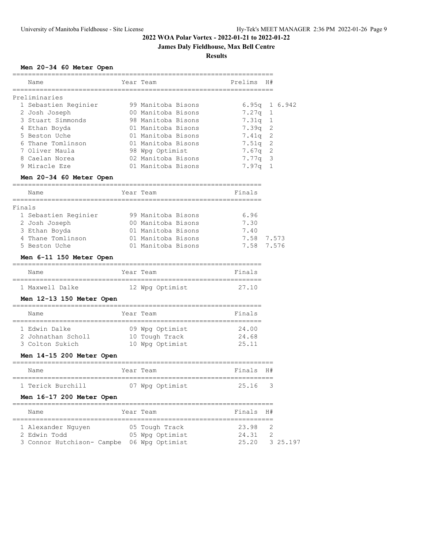# **James Daly Fieldhouse, Max Bell Centre**

## **Results**

## **Men 20-34 60 Meter Open**

| Name                                | Year Team                                                 | Prelims | H#             |  |
|-------------------------------------|-----------------------------------------------------------|---------|----------------|--|
| Preliminaries                       |                                                           |         |                |  |
| 1 Sebastien Reginier                | 99 Manitoba Bisons                                        | 6.95q   | 1 6.942        |  |
| 2 Josh Joseph                       | 00 Manitoba Bisons                                        | 7.27q   | 1              |  |
| 3 Stuart Simmonds                   | 98 Manitoba Bisons                                        | 7.31q   | 1              |  |
| 4 Ethan Boyda                       | 01 Manitoba Bisons                                        | 7.39q   | 2              |  |
| 5 Beston Uche                       | 01 Manitoba Bisons                                        | 7.41q   | 2              |  |
| 6 Thane Tomlinson                   | 01 Manitoba Bisons                                        | 7.51q   | 2              |  |
| 7 Oliver Maula                      | 98 Wpg Optimist                                           | 7.67q   | 2              |  |
| 8 Caelan Norea                      | 02 Manitoba Bisons                                        | 7.77q   | 3              |  |
| 9 Miracle Eze                       | 01 Manitoba Bisons                                        | 7.97q   | 1              |  |
| Men 20-34 60 Meter Open             |                                                           |         |                |  |
| Name                                | Year Team                                                 | Finals  |                |  |
|                                     |                                                           |         |                |  |
| Finals<br>1 Sebastien Reginier      | 99 Manitoba Bisons                                        | 6.96    |                |  |
|                                     | 00 Manitoba Bisons                                        | 7.30    |                |  |
| 2 Josh Joseph                       |                                                           |         |                |  |
| 3 Ethan Boyda                       | 01 Manitoba Bisons                                        | 7.40    |                |  |
| 4 Thane Tomlinson                   | 01 Manitoba Bisons                                        | 7.58    | 7.573          |  |
| 5 Beston Uche                       | 01 Manitoba Bisons                                        | 7.58    | 7.576          |  |
| Men 6-11 150 Meter Open             |                                                           |         |                |  |
| Name<br>____________________        | Year Team                                                 | Finals  |                |  |
| 1 Maxwell Dalke                     | 12 Wpg Optimist                                           | 27.10   |                |  |
| Men 12-13 150 Meter Open            |                                                           |         |                |  |
| Name                                | Year Team                                                 | Finals  |                |  |
| 1 Edwin Dalke                       | ______________________<br>09 Wpg Optimist                 | 24.00   |                |  |
| 2 Johnathan Scholl                  | 10 Tough Track                                            | 24.68   |                |  |
| 3 Colton Sukich                     | 10 Wpg Optimist                                           | 25.11   |                |  |
| Men 14-15 200 Meter Open            |                                                           |         |                |  |
| Name                                | Year Team                                                 | Finals  | H#             |  |
| Terick Burchill                     | ______________________________________<br>07 Wpg Optimist | 25.16   | 3              |  |
| Men 16-17 200 Meter Open            |                                                           |         |                |  |
| ===========================<br>Name | ;=====================<br>Year Team                       | Finals  | H#             |  |
| 1 Alexander Nguyen                  | 05 Tough Track                                            | 23.98   | 2              |  |
| 2 Edwin Todd                        | 05 Wpg Optimist                                           | 24.31   | $\overline{2}$ |  |
| 3 Connor Hutchison- Campbe          | 06 Wpg Optimist                                           | 25.20   | 3 25.197       |  |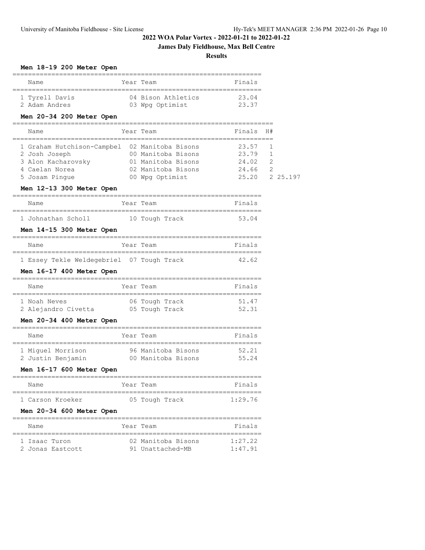**James Daly Fieldhouse, Max Bell Centre**

#### **Results**

**Men 18-19 200 Meter Open**

| Name           | Year Team          | Finals |
|----------------|--------------------|--------|
| 1 Tyrell Davis | 04 Bison Athletics | 23.04  |
| 2 Adam Andres  | 03 Wpg Optimist    | 23.37  |

## **Men 20-34 200 Meter Open**

| Name                                          | Year Team          | Finals H# |                |  |
|-----------------------------------------------|--------------------|-----------|----------------|--|
| 1 Graham Hutchison-Campbel 02 Manitoba Bisons |                    | 23.57     |                |  |
| 2 Josh Joseph                                 | 00 Manitoba Bisons | 23.79     | $\overline{1}$ |  |
| 3 Alon Kacharovsky                            | 01 Manitoba Bisons | 24.02     | $\mathcal{L}$  |  |
| 4 Caelan Norea                                | 02 Manitoba Bisons | 24.66     |                |  |
| 5 Josam Pinque                                | 00 Wpg Optimist    | 25.20     | 2 25.197       |  |

#### **Men 12-13 300 Meter Open**

| Name               |  | Year Team      | Finals |
|--------------------|--|----------------|--------|
|                    |  |                |        |
| 1 Johnathan Scholl |  | 10 Tough Track | 53.04  |

## **Men 14-15 300 Meter Open**

| Name |                                           | Year Team |  | Finals |
|------|-------------------------------------------|-----------|--|--------|
|      | 1 Essey Tekle Weldegebriel 07 Tough Track |           |  | 42.62  |

## **Men 16-17 400 Meter Open**

| Name                | Year Team      | Finals |
|---------------------|----------------|--------|
| 1 Noah Neves        | 06 Tough Track | 51.47  |
| 2 Alejandro Civetta | 05 Tough Track | 52.31  |

## **Men 20-34 400 Meter Open**

| Name |                   | Year Team          | Finals |
|------|-------------------|--------------------|--------|
|      | 1 Miquel Morrison | 96 Manitoba Bisons | 52.21  |
|      | 2 Justin Benjamin | 00 Manitoba Bisons | 55.24  |

#### **Men 16-17 600 Meter Open**

| Name             | Year Team |                |  | Finals  |
|------------------|-----------|----------------|--|---------|
| 1 Carson Kroeker |           | 05 Tough Track |  | 1:29.76 |

#### **Men 20-34 600 Meter Open**

| Name             | Year Team          | Finals  |
|------------------|--------------------|---------|
| 1 Isaac Turon    | 02 Manitoba Bisons | 1:27.22 |
| 2 Jonas Eastcott | 91 Unattached-MB   | 1:47.91 |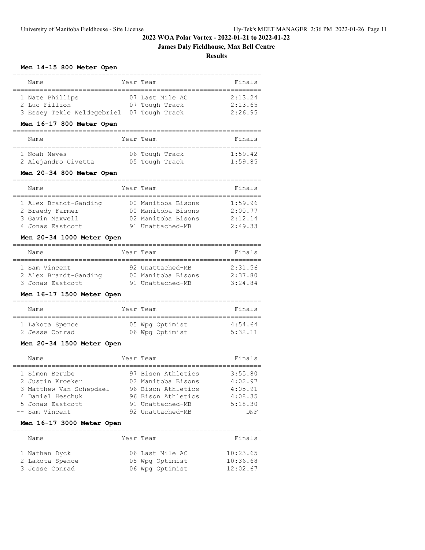## **James Daly Fieldhouse, Max Bell Centre**

**Results**

================================================================

#### **Men 14-15 800 Meter Open**

| Name                                      | Year Team       | Finals  |
|-------------------------------------------|-----------------|---------|
|                                           |                 |         |
| 1 Nate Phillips                           | 07 Last Mile AC | 2:13.24 |
| 2 Luc Fillion                             | 07 Tough Track  | 2:13.65 |
| 3 Essey Tekle Weldegebriel 07 Tough Track |                 | 2:26.95 |

#### **Men 16-17 800 Meter Open**

| Name                | Year Team      | Finals  |
|---------------------|----------------|---------|
| 1 Noah Neves        | 06 Tough Track | 1:59.42 |
| 2 Alejandro Civetta | 05 Tough Track | 1:59.85 |

## **Men 20-34 800 Meter Open**

| Name                  | Year Team          | Finals  |
|-----------------------|--------------------|---------|
|                       |                    |         |
| 1 Alex Brandt-Ganding | 00 Manitoba Bisons | 1:59.96 |
| 2 Braedy Farmer       | 00 Manitoba Bisons | 2:00.77 |
| 3 Gavin Maxwell       | 02 Manitoba Bisons | 2:12.14 |
| 4 Jonas Eastcott      | 91 Unattached-MB   | 2:49.33 |

#### **Men 20-34 1000 Meter Open**

| Name                  | Year Team          | Finals  |
|-----------------------|--------------------|---------|
|                       |                    |         |
| 1 Sam Vincent         | 92 Unattached-MB   | 2:31.56 |
| 2 Alex Brandt-Ganding | 00 Manitoba Bisons | 2:37.80 |
| 3 Jonas Eastcott      | 91 Unattached-MB   | 3:24.84 |

## **Men 16-17 1500 Meter Open**

| Name                              | Year Team |                                    | Finals             |
|-----------------------------------|-----------|------------------------------------|--------------------|
| 1 Lakota Spence<br>2 Jesse Conrad |           | 05 Wpg Optimist<br>06 Wpg Optimist | 4:54.64<br>5:32.11 |

# **Men 20-34 1500 Meter Open**

| Name                    | Year Team          | Finals  |
|-------------------------|--------------------|---------|
| 1 Simon Berube          | 97 Bison Athletics | 3:55.80 |
| 2 Justin Kroeker        | 02 Manitoba Bisons | 4:02.97 |
| 3 Matthew Van Schepdael | 96 Bison Athletics | 4:05.91 |
| 4 Daniel Heschuk        | 96 Bison Athletics | 4:08.35 |
| 5 Jonas Eastcott        | 91 Unattached-MB   | 5:18.30 |
| -- Sam Vincent          | 92 Unattached-MB   | DN F    |

#### **Men 16-17 3000 Meter Open**

|  | Name                                               |  | Year Team                                             | Finals                           |  |  |  |
|--|----------------------------------------------------|--|-------------------------------------------------------|----------------------------------|--|--|--|
|  | 1 Nathan Dyck<br>2 Lakota Spence<br>3 Jesse Conrad |  | 06 Last Mile AC<br>05 Wpg Optimist<br>06 Wpg Optimist | 10:23.65<br>10:36.68<br>12:02.67 |  |  |  |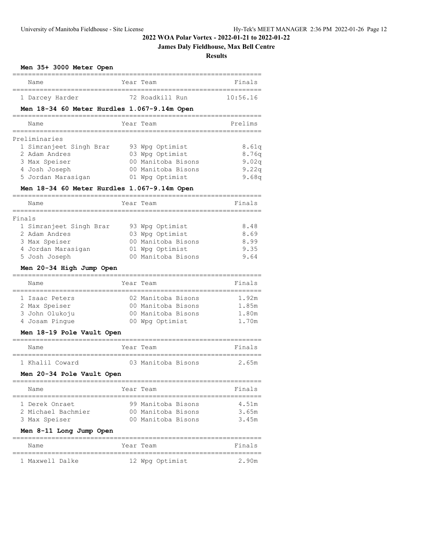# **James Daly Fieldhouse, Max Bell Centre**

| Men 35+ 3000 Meter Open                     |                     |          |
|---------------------------------------------|---------------------|----------|
| Name                                        | Year Team           | Finals   |
| 1 Darcey Harder                             | 72 Roadkill Run     | 10:56.16 |
| Men 18-34 60 Meter Hurdles 1.067-9.14m Open |                     |          |
| Name                                        | Year Team           | Prelims  |
| Preliminaries                               |                     |          |
| 1 Simranjeet Singh Brar                     | 93 Wpg Optimist     | 8.61q    |
| 2 Adam Andres                               | 03 Wpg Optimist     | 8.76q    |
| 3 Max Speiser                               | 00 Manitoba Bisons  | 9.02q    |
| 4 Josh Joseph                               | 00 Manitoba Bisons  | 9.22q    |
| 5 Jordan Marasigan                          | 01 Wpg Optimist     | 9.68q    |
| Men 18-34 60 Meter Hurdles 1.067-9.14m Open |                     |          |
| Name                                        | Team<br>Year        | Finals   |
| -----------<br>Finals                       | ------------------- |          |
| 1 Simranjeet Singh Brar                     | 93 Wpg Optimist     | 8.48     |
| 2 Adam Andres                               | 03 Wpg Optimist     | 8.69     |
| 3 Max Speiser                               | 00 Manitoba Bisons  | 8.99     |
| 4 Jordan Marasigan                          | 01 Wpg Optimist     | 9.35     |
| 5 Josh Joseph                               | 00 Manitoba Bisons  | 9.64     |
| Men 20-34 High Jump Open                    |                     |          |
| Name                                        | Year Team           | Finals   |
| 1 Isaac Peters                              | 02 Manitoba Bisons  | 1.92m    |
| 2 Max Speiser                               | 00 Manitoba Bisons  | 1.85m    |
| 3 John Olukoju                              | 00 Manitoba Bisons  | 1.80m    |
| 4 Josam Pingue                              | 00 Wpg Optimist     | 1.70m    |
| Men 18-19 Pole Vault Open                   |                     |          |
| Name                                        | Year Team           | Finals   |
| 1 Khalil Coward                             | 03 Manitoba Bisons  | 2.65m    |
| Men 20-34 Pole Vault Open                   |                     |          |
| Name                                        | Year Team           | Finals   |
| 1 Derek Onraet                              | 99 Manitoba Bisons  | 4.51m    |
| 2 Michael Bachmier                          | 00 Manitoba Bisons  | 3.65m    |
| 3 Max Speiser                               | 00 Manitoba Bisons  | 3.45m    |
| Men 8-11 Long Jump Open                     |                     |          |
| Name                                        | Year Team           | Finals   |
|                                             |                     |          |
| 1 Maxwell Dalke                             | 12 Wpg Optimist     | 2.90m    |